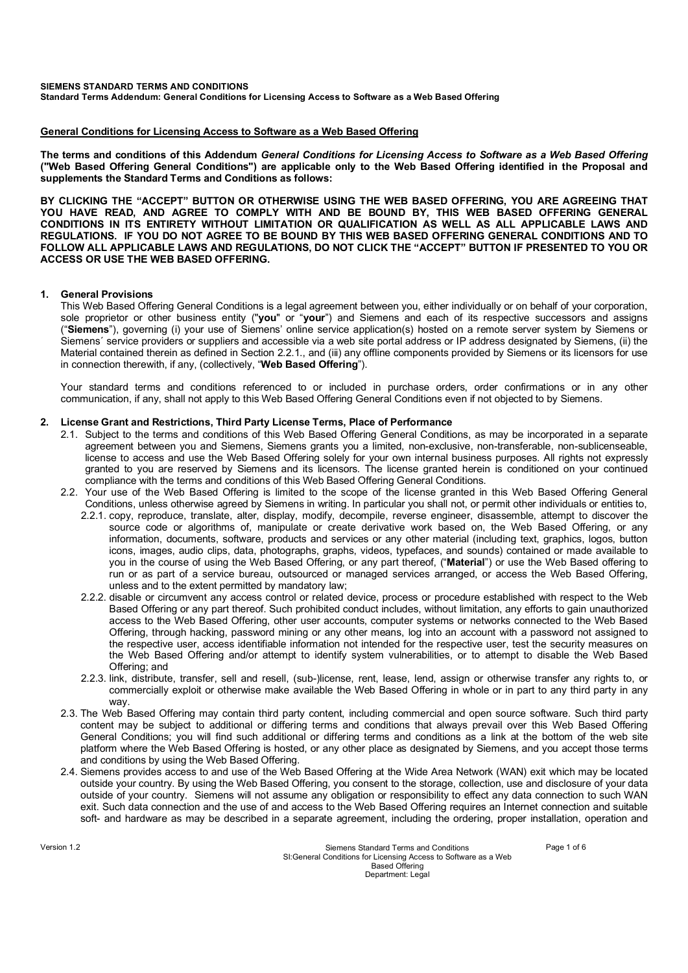## **General Conditions for Licensing Access to Software as a Web Based Offering**

**The terms and conditions of this Addendum** *General Conditions for Licensing Access to Software as a Web Based Offering* **("Web Based Offering General Conditions") are applicable only to the Web Based Offering identified in the Proposal and supplements the Standard Terms and Conditions as follows:**

**BY CLICKING THE "ACCEPT" BUTTON OR OTHERWISE USING THE WEB BASED OFFERING, YOU ARE AGREEING THAT YOU HAVE READ, AND AGREE TO COMPLY WITH AND BE BOUND BY, THIS WEB BASED OFFERING GENERAL CONDITIONS IN ITS ENTIRETY WITHOUT LIMITATION OR QUALIFICATION AS WELL AS ALL APPLICABLE LAWS AND REGULATIONS. IF YOU DO NOT AGREE TO BE BOUND BY THIS WEB BASED OFFERING GENERAL CONDITIONS AND TO FOLLOW ALL APPLICABLE LAWS AND REGULATIONS, DO NOT CLICK THE "ACCEPT" BUTTON IF PRESENTED TO YOU OR ACCESS OR USE THE WEB BASED OFFERING.**

# **1. General Provisions**

This Web Based Offering General Conditions is a legal agreement between you, either individually or on behalf of your corporation, sole proprietor or other business entity ("**you**" or "**your**") and Siemens and each of its respective successors and assigns ("**Siemens**"), governing (i) your use of Siemens' online service application(s) hosted on a remote server system by Siemens or Siemens' service providers or suppliers and accessible via a web site portal address or IP address designated by Siemens, (ii) the Material contained therein as defined in Section 2.2.1., and (iii) any offline components provided by Siemens or its licensors for use in connection therewith, if any, (collectively, "**Web Based Offering**").

Your standard terms and conditions referenced to or included in purchase orders, order confirmations or in any other communication, if any, shall not apply to this Web Based Offering General Conditions even if not objected to by Siemens.

# **2. License Grant and Restrictions, Third Party License Terms, Place of Performance**

- 2.1. Subject to the terms and conditions of this Web Based Offering General Conditions, as may be incorporated in a separate agreement between you and Siemens, Siemens grants you a limited, non-exclusive, non-transferable, non-sublicenseable, license to access and use the Web Based Offering solely for your own internal business purposes. All rights not expressly granted to you are reserved by Siemens and its licensors. The license granted herein is conditioned on your continued compliance with the terms and conditions of this Web Based Offering General Conditions.
- 2.2. Your use of the Web Based Offering is limited to the scope of the license granted in this Web Based Offering General Conditions, unless otherwise agreed by Siemens in writing. In particular you shall not, or permit other individuals or entities to, 2.2.1. copy, reproduce, translate, alter, display, modify, decompile, reverse engineer, disassemble, attempt to discover the source code or algorithms of, manipulate or create derivative work based on, the Web Based Offering, or any information, documents, software, products and services or any other material (including text, graphics, logos, button icons, images, audio clips, data, photographs, graphs, videos, typefaces, and sounds) contained or made available to you in the course of using the Web Based Offering, or any part thereof, ("**Material**") or use the Web Based offering to run or as part of a service bureau, outsourced or managed services arranged, or access the Web Based Offering, unless and to the extent permitted by mandatory law;
	- 2.2.2. disable or circumvent any access control or related device, process or procedure established with respect to the Web Based Offering or any part thereof. Such prohibited conduct includes, without limitation, any efforts to gain unauthorized access to the Web Based Offering, other user accounts, computer systems or networks connected to the Web Based Offering, through hacking, password mining or any other means, log into an account with a password not assigned to the respective user, access identifiable information not intended for the respective user, test the security measures on the Web Based Offering and/or attempt to identify system vulnerabilities, or to attempt to disable the Web Based Offering; and
	- 2.2.3. link, distribute, transfer, sell and resell, (sub-)license, rent, lease, lend, assign or otherwise transfer any rights to, or commercially exploit or otherwise make available the Web Based Offering in whole or in part to any third party in any way.
- 2.3. The Web Based Offering may contain third party content, including commercial and open source software. Such third party content may be subject to additional or differing terms and conditions that always prevail over this Web Based Offering General Conditions; you will find such additional or differing terms and conditions as a link at the bottom of the web site platform where the Web Based Offering is hosted, or any other place as designated by Siemens, and you accept those terms and conditions by using the Web Based Offering.
- 2.4. Siemens provides access to and use of the Web Based Offering at the Wide Area Network (WAN) exit which may be located outside your country. By using the Web Based Offering, you consent to the storage, collection, use and disclosure of your data outside of your country. Siemens will not assume any obligation or responsibility to effect any data connection to such WAN exit. Such data connection and the use of and access to the Web Based Offering requires an Internet connection and suitable soft- and hardware as may be described in a separate agreement, including the ordering, proper installation, operation and

Version 1.2 **Standard Terms** and Conditions **Page 1 of 6** Standard Terms and Conditions **Page 1 of 6** SI:General Conditions for Licensing Access to Software as a Web Based Offering Department: Legal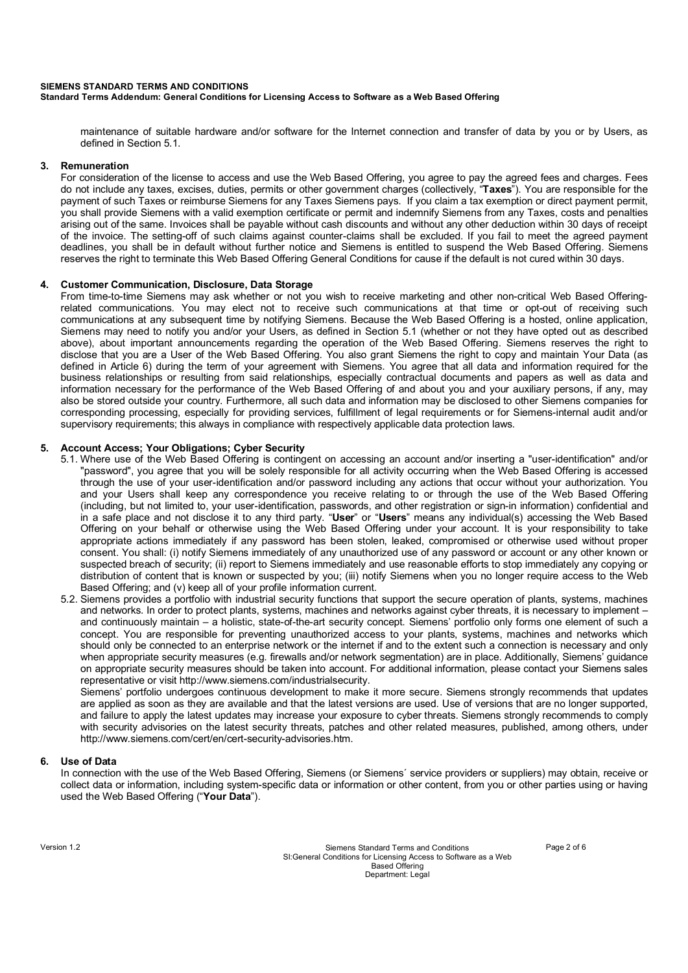#### **SIEMENS STANDARD TERMS AND CONDITIONS Standard Terms Addendum: General Conditions for Licensing Access to Software as a Web Based Offering**

maintenance of suitable hardware and/or software for the Internet connection and transfer of data by you or by Users, as defined in Section 5.1.

## **3. Remuneration**

For consideration of the license to access and use the Web Based Offering, you agree to pay the agreed fees and charges. Fees do not include any taxes, excises, duties, permits or other government charges (collectively, "**Taxes**"). You are responsible for the payment of such Taxes or reimburse Siemens for any Taxes Siemens pays. If you claim a tax exemption or direct payment permit, you shall provide Siemens with a valid exemption certificate or permit and indemnify Siemens from any Taxes, costs and penalties arising out of the same. Invoices shall be payable without cash discounts and without any other deduction within 30 days of receipt of the invoice. The setting-off of such claims against counter-claims shall be excluded. If you fail to meet the agreed payment deadlines, you shall be in default without further notice and Siemens is entitled to suspend the Web Based Offering. Siemens reserves the right to terminate this Web Based Offering General Conditions for cause if the default is not cured within 30 days.

# **4. Customer Communication, Disclosure, Data Storage**

From time-to-time Siemens may ask whether or not you wish to receive marketing and other non-critical Web Based Offeringrelated communications. You may elect not to receive such communications at that time or opt-out of receiving such communications at any subsequent time by notifying Siemens. Because the Web Based Offering is a hosted, online application, Siemens may need to notify you and/or your Users, as defined in Section 5.1 (whether or not they have opted out as described above), about important announcements regarding the operation of the Web Based Offering. Siemens reserves the right to disclose that you are a User of the Web Based Offering. You also grant Siemens the right to copy and maintain Your Data (as defined in Article 6) during the term of your agreement with Siemens. You agree that all data and information required for the business relationships or resulting from said relationships, especially contractual documents and papers as well as data and information necessary for the performance of the Web Based Offering of and about you and your auxiliary persons, if any, may also be stored outside your country. Furthermore, all such data and information may be disclosed to other Siemens companies for corresponding processing, especially for providing services, fulfillment of legal requirements or for Siemens-internal audit and/or supervisory requirements; this always in compliance with respectively applicable data protection laws.

# **5. Account Access; Your Obligations; Cyber Security**

- 5.1. Where use of the Web Based Offering is contingent on accessing an account and/or inserting a "user-identification" and/or "password", you agree that you will be solely responsible for all activity occurring when the Web Based Offering is accessed through the use of your user-identification and/or password including any actions that occur without your authorization. You and your Users shall keep any correspondence you receive relating to or through the use of the Web Based Offering (including, but not limited to, your user-identification, passwords, and other registration or sign-in information) confidential and in a safe place and not disclose it to any third party. "**User**" or "**Users**" means any individual(s) accessing the Web Based Offering on your behalf or otherwise using the Web Based Offering under your account. It is your responsibility to take appropriate actions immediately if any password has been stolen, leaked, compromised or otherwise used without proper consent. You shall: (i) notify Siemens immediately of any unauthorized use of any password or account or any other known or suspected breach of security; (ii) report to Siemens immediately and use reasonable efforts to stop immediately any copying or distribution of content that is known or suspected by you; (iii) notify Siemens when you no longer require access to the Web Based Offering; and (v) keep all of your profile information current.
- 5.2. Siemens provides a portfolio with industrial security functions that support the secure operation of plants, systems, machines and networks. In order to protect plants, systems, machines and networks against cyber threats, it is necessary to implement – and continuously maintain – a holistic, state-of-the-art security concept. Siemens' portfolio only forms one element of such a concept. You are responsible for preventing unauthorized access to your plants, systems, machines and networks which should only be connected to an enterprise network or the internet if and to the extent such a connection is necessary and only when appropriate security measures (e.g. firewalls and/or network segmentation) are in place. Additionally, Siemens' guidance on appropriate security measures should be taken into account. For additional information, please contact your Siemens sales representative or visit http://www.siemens.com/industrialsecurity.

Siemens' portfolio undergoes continuous development to make it more secure. Siemens strongly recommends that updates are applied as soon as they are available and that the latest versions are used. Use of versions that are no longer supported, and failure to apply the latest updates may increase your exposure to cyber threats. Siemens strongly recommends to comply with security advisories on the latest security threats, patches and other related measures, published, among others, under http://www.siemens.com/cert/en/cert-security-advisories.htm.

## **6. Use of Data**

In connection with the use of the Web Based Offering, Siemens (or Siemens´ service providers or suppliers) may obtain, receive or collect data or information, including system-specific data or information or other content, from you or other parties using or having used the Web Based Offering ("**Your Data**").

Version 1.2 Siemens Standard Terms and Conditions Page 2 of 6 SI:General Conditions for Licensing Access to Software as a Web Based Offering Department: Legal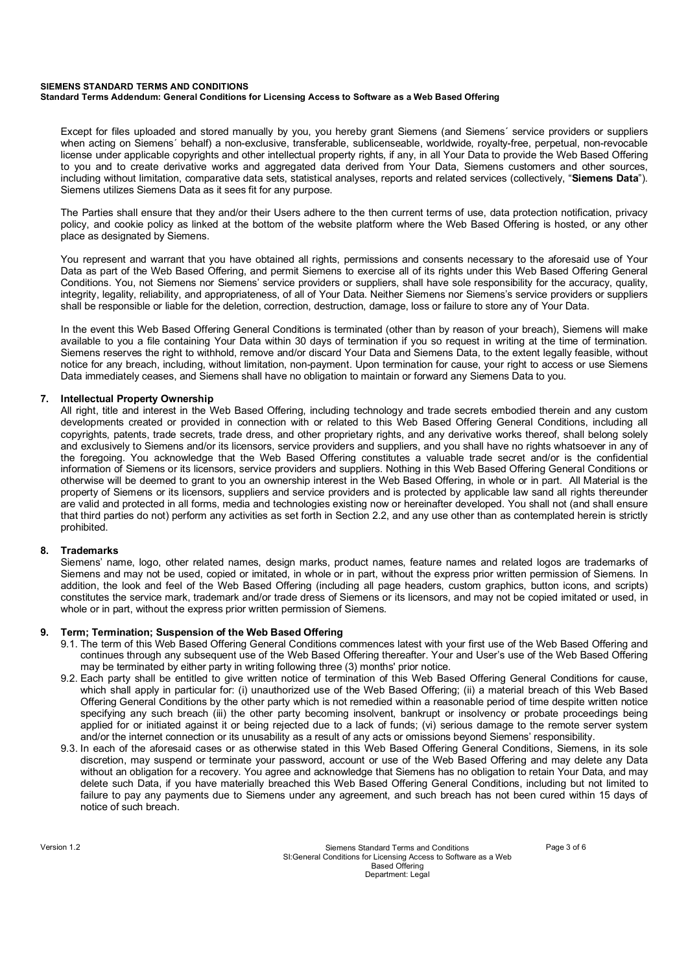#### **SIEMENS STANDARD TERMS AND CONDITIONS Standard Terms Addendum: General Conditions for Licensing Access to Software as a Web Based Offering**

Except for files uploaded and stored manually by you, you hereby grant Siemens (and Siemens´ service providers or suppliers when acting on Siemens´ behalf) a non-exclusive, transferable, sublicenseable, worldwide, royalty-free, perpetual, non-revocable license under applicable copyrights and other intellectual property rights, if any, in all Your Data to provide the Web Based Offering to you and to create derivative works and aggregated data derived from Your Data, Siemens customers and other sources, including without limitation, comparative data sets, statistical analyses, reports and related services (collectively, "**Siemens Data**"). Siemens utilizes Siemens Data as it sees fit for any purpose.

The Parties shall ensure that they and/or their Users adhere to the then current terms of use, data protection notification, privacy policy, and cookie policy as linked at the bottom of the website platform where the Web Based Offering is hosted, or any other place as designated by Siemens.

You represent and warrant that you have obtained all rights, permissions and consents necessary to the aforesaid use of Your Data as part of the Web Based Offering, and permit Siemens to exercise all of its rights under this Web Based Offering General Conditions. You, not Siemens nor Siemens' service providers or suppliers, shall have sole responsibility for the accuracy, quality, integrity, legality, reliability, and appropriateness, of all of Your Data. Neither Siemens nor Siemens's service providers or suppliers shall be responsible or liable for the deletion, correction, destruction, damage, loss or failure to store any of Your Data.

In the event this Web Based Offering General Conditions is terminated (other than by reason of your breach), Siemens will make available to you a file containing Your Data within 30 days of termination if you so request in writing at the time of termination. Siemens reserves the right to withhold, remove and/or discard Your Data and Siemens Data, to the extent legally feasible, without notice for any breach, including, without limitation, non-payment. Upon termination for cause, your right to access or use Siemens Data immediately ceases, and Siemens shall have no obligation to maintain or forward any Siemens Data to you.

# **7. Intellectual Property Ownership**

All right, title and interest in the Web Based Offering, including technology and trade secrets embodied therein and any custom developments created or provided in connection with or related to this Web Based Offering General Conditions, including all copyrights, patents, trade secrets, trade dress, and other proprietary rights, and any derivative works thereof, shall belong solely and exclusively to Siemens and/or its licensors, service providers and suppliers, and you shall have no rights whatsoever in any of the foregoing. You acknowledge that the Web Based Offering constitutes a valuable trade secret and/or is the confidential information of Siemens or its licensors, service providers and suppliers. Nothing in this Web Based Offering General Conditions or otherwise will be deemed to grant to you an ownership interest in the Web Based Offering, in whole or in part. All Material is the property of Siemens or its licensors, suppliers and service providers and is protected by applicable law sand all rights thereunder are valid and protected in all forms, media and technologies existing now or hereinafter developed. You shall not (and shall ensure that third parties do not) perform any activities as set forth in Section 2.2, and any use other than as contemplated herein is strictly prohibited.

## **8. Trademarks**

Siemens' name, logo, other related names, design marks, product names, feature names and related logos are trademarks of Siemens and may not be used, copied or imitated, in whole or in part, without the express prior written permission of Siemens. In addition, the look and feel of the Web Based Offering (including all page headers, custom graphics, button icons, and scripts) constitutes the service mark, trademark and/or trade dress of Siemens or its licensors, and may not be copied imitated or used, in whole or in part, without the express prior written permission of Siemens.

## **9. Term; Termination; Suspension of the Web Based Offering**

- 9.1. The term of this Web Based Offering General Conditions commences latest with your first use of the Web Based Offering and continues through any subsequent use of the Web Based Offering thereafter. Your and User's use of the Web Based Offering may be terminated by either party in writing following three (3) months' prior notice.
- 9.2. Each party shall be entitled to give written notice of termination of this Web Based Offering General Conditions for cause, which shall apply in particular for: (i) unauthorized use of the Web Based Offering; (ii) a material breach of this Web Based Offering General Conditions by the other party which is not remedied within a reasonable period of time despite written notice specifying any such breach (iii) the other party becoming insolvent, bankrupt or insolvency or probate proceedings being applied for or initiated against it or being rejected due to a lack of funds; (vi) serious damage to the remote server system and/or the internet connection or its unusability as a result of any acts or omissions beyond Siemens' responsibility.
- 9.3. In each of the aforesaid cases or as otherwise stated in this Web Based Offering General Conditions, Siemens, in its sole discretion, may suspend or terminate your password, account or use of the Web Based Offering and may delete any Data without an obligation for a recovery. You agree and acknowledge that Siemens has no obligation to retain Your Data, and may delete such Data, if you have materially breached this Web Based Offering General Conditions, including but not limited to failure to pay any payments due to Siemens under any agreement, and such breach has not been cured within 15 days of notice of such breach.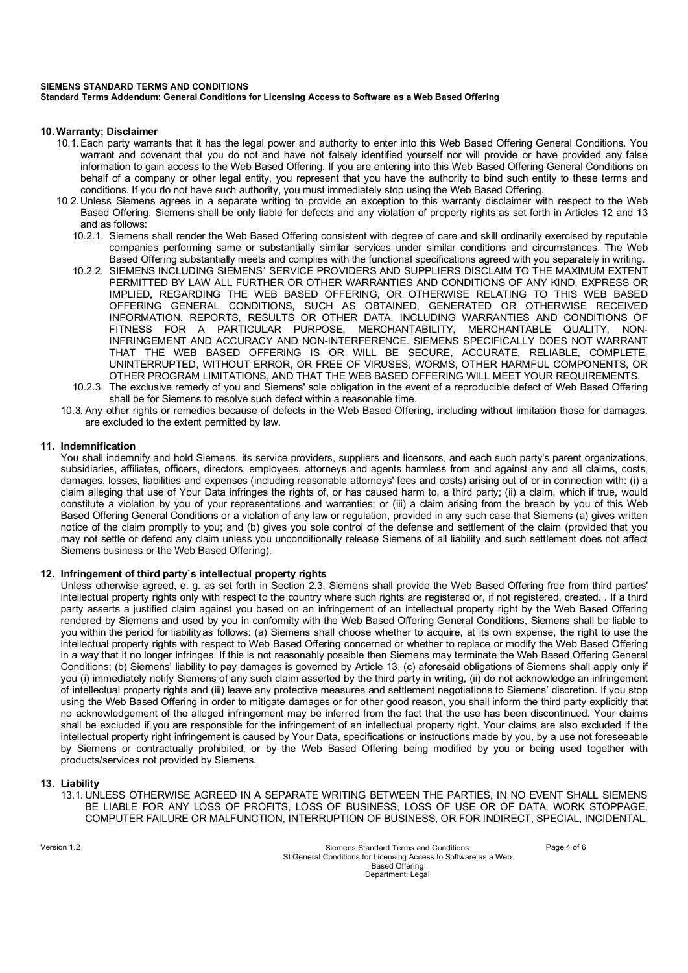# **SIEMENS STANDARD TERMS AND CONDITIONS**

**Standard Terms Addendum: General Conditions for Licensing Access to Software as a Web Based Offering**

#### **10. Warranty; Disclaimer**

- 10.1. Each party warrants that it has the legal power and authority to enter into this Web Based Offering General Conditions. You warrant and covenant that you do not and have not falsely identified yourself nor will provide or have provided any false information to gain access to the Web Based Offering. If you are entering into this Web Based Offering General Conditions on behalf of a company or other legal entity, you represent that you have the authority to bind such entity to these terms and conditions. If you do not have such authority, you must immediately stop using the Web Based Offering.
- 10.2. Unless Siemens agrees in a separate writing to provide an exception to this warranty disclaimer with respect to the Web Based Offering, Siemens shall be only liable for defects and any violation of property rights as set forth in Articles 12 and 13 and as follows:
	- 10.2.1. Siemens shall render the Web Based Offering consistent with degree of care and skill ordinarily exercised by reputable companies performing same or substantially similar services under similar conditions and circumstances. The Web Based Offering substantially meets and complies with the functional specifications agreed with you separately in writing.
	- 10.2.2. SIEMENS INCLUDING SIEMENS´ SERVICE PROVIDERS AND SUPPLIERS DISCLAIM TO THE MAXIMUM EXTENT PERMITTED BY LAW ALL FURTHER OR OTHER WARRANTIES AND CONDITIONS OF ANY KIND, EXPRESS OR IMPLIED, REGARDING THE WEB BASED OFFERING, OR OTHERWISE RELATING TO THIS WEB BASED OFFERING GENERAL CONDITIONS, SUCH AS OBTAINED, GENERATED OR OTHERWISE RECEIVED INFORMATION, REPORTS, RESULTS OR OTHER DATA, INCLUDING WARRANTIES AND CONDITIONS OF FITNESS FOR A PARTICULAR PURPOSE, MERCHANTABILITY, MERCHANTABLE QUALITY, NON-INFRINGEMENT AND ACCURACY AND NON-INTERFERENCE. SIEMENS SPECIFICALLY DOES NOT WARRANT THAT THE WEB BASED OFFERING IS OR WILL BE SECURE, ACCURATE, RELIABLE, COMPLETE, UNINTERRUPTED, WITHOUT ERROR, OR FREE OF VIRUSES, WORMS, OTHER HARMFUL COMPONENTS, OR OTHER PROGRAM LIMITATIONS, AND THAT THE WEB BASED OFFERING WILL MEET YOUR REQUIREMENTS.
	- 10.2.3. The exclusive remedy of you and Siemens' sole obligation in the event of a reproducible defect of Web Based Offering shall be for Siemens to resolve such defect within a reasonable time.
- 10.3. Any other rights or remedies because of defects in the Web Based Offering, including without limitation those for damages, are excluded to the extent permitted by law.

## **11. Indemnification**

You shall indemnify and hold Siemens, its service providers, suppliers and licensors, and each such party's parent organizations, subsidiaries, affiliates, officers, directors, employees, attorneys and agents harmless from and against any and all claims, costs, damages, losses, liabilities and expenses (including reasonable attorneys' fees and costs) arising out of or in connection with: (i) a claim alleging that use of Your Data infringes the rights of, or has caused harm to, a third party; (ii) a claim, which if true, would constitute a violation by you of your representations and warranties; or (iii) a claim arising from the breach by you of this Web Based Offering General Conditions or a violation of any law or regulation, provided in any such case that Siemens (a) gives written notice of the claim promptly to you; and (b) gives you sole control of the defense and settlement of the claim (provided that you may not settle or defend any claim unless you unconditionally release Siemens of all liability and such settlement does not affect Siemens business or the Web Based Offering).

## **12. Infringement of third party`s intellectual property rights**

Unless otherwise agreed, e. g. as set forth in Section 2.3, Siemens shall provide the Web Based Offering free from third parties' intellectual property rights only with respect to the country where such rights are registered or, if not registered, created. . If a third party asserts a justified claim against you based on an infringement of an intellectual property right by the Web Based Offering rendered by Siemens and used by you in conformity with the Web Based Offering General Conditions, Siemens shall be liable to you within the period for liability as follows: (a) Siemens shall choose whether to acquire, at its own expense, the right to use the intellectual property rights with respect to Web Based Offering concerned or whether to replace or modify the Web Based Offering in a way that it no longer infringes. If this is not reasonably possible then Siemens may terminate the Web Based Offering General Conditions; (b) Siemens' liability to pay damages is governed by Article 13, (c) aforesaid obligations of Siemens shall apply only if you (i) immediately notify Siemens of any such claim asserted by the third party in writing, (ii) do not acknowledge an infringement of intellectual property rights and (iii) leave any protective measures and settlement negotiations to Siemens' discretion. If you stop using the Web Based Offering in order to mitigate damages or for other good reason, you shall inform the third party explicitly that no acknowledgement of the alleged infringement may be inferred from the fact that the use has been discontinued. Your claims shall be excluded if you are responsible for the infringement of an intellectual property right. Your claims are also excluded if the intellectual property right infringement is caused by Your Data, specifications or instructions made by you, by a use not foreseeable by Siemens or contractually prohibited, or by the Web Based Offering being modified by you or being used together with products/services not provided by Siemens.

#### **13. Liability**

13.1. UNLESS OTHERWISE AGREED IN A SEPARATE WRITING BETWEEN THE PARTIES, IN NO EVENT SHALL SIEMENS BE LIABLE FOR ANY LOSS OF PROFITS, LOSS OF BUSINESS, LOSS OF USE OR OF DATA, WORK STOPPAGE, COMPUTER FAILURE OR MALFUNCTION, INTERRUPTION OF BUSINESS, OR FOR INDIRECT, SPECIAL, INCIDENTAL,

Version 1.2 Siemens Standard Terms and Conditions Page 4 of 6 SI:General Conditions for Licensing Access to Software as a Web Based Offering Department: Legal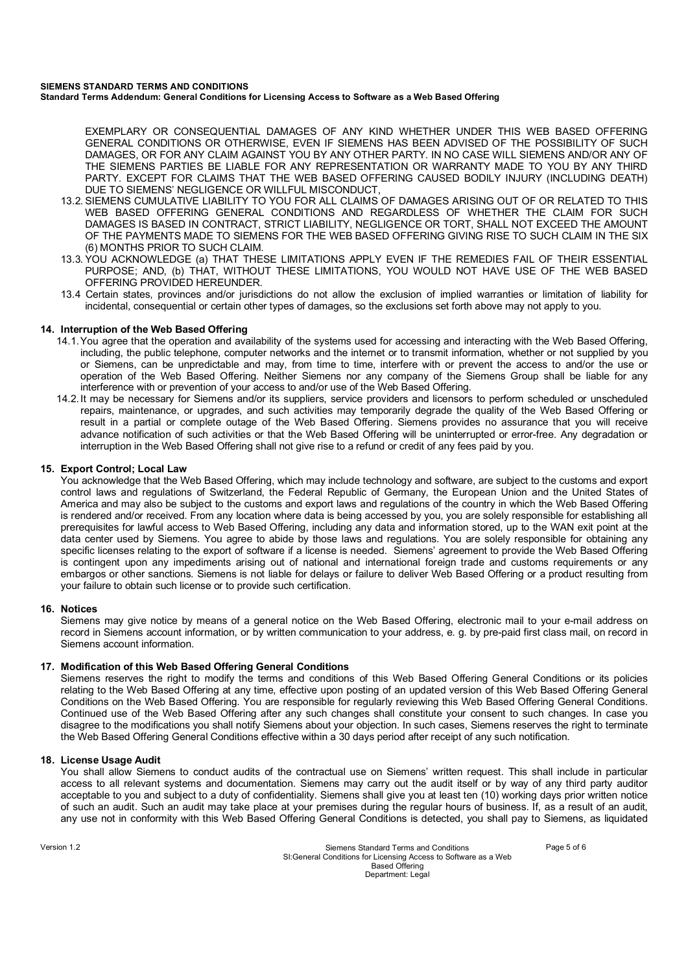#### **SIEMENS STANDARD TERMS AND CONDITIONS Standard Terms Addendum: General Conditions for Licensing Access to Software as a Web Based Offering**

EXEMPLARY OR CONSEQUENTIAL DAMAGES OF ANY KIND WHETHER UNDER THIS WEB BASED OFFERING GENERAL CONDITIONS OR OTHERWISE, EVEN IF SIEMENS HAS BEEN ADVISED OF THE POSSIBILITY OF SUCH DAMAGES, OR FOR ANY CLAIM AGAINST YOU BY ANY OTHER PARTY. IN NO CASE WILL SIEMENS AND/OR ANY OF THE SIEMENS PARTIES BE LIABLE FOR ANY REPRESENTATION OR WARRANTY MADE TO YOU BY ANY THIRD PARTY. EXCEPT FOR CLAIMS THAT THE WEB BASED OFFERING CAUSED BODILY INJURY (INCLUDING DEATH) DUE TO SIEMENS' NEGLIGENCE OR WILLFUL MISCONDUCT,

- 13.2. SIEMENS CUMULATIVE LIABILITY TO YOU FOR ALL CLAIMS OF DAMAGES ARISING OUT OF OR RELATED TO THIS WEB BASED OFFERING GENERAL CONDITIONS AND REGARDLESS OF WHETHER THE CLAIM FOR SUCH DAMAGES IS BASED IN CONTRACT, STRICT LIABILITY, NEGLIGENCE OR TORT, SHALL NOT EXCEED THE AMOUNT OF THE PAYMENTS MADE TO SIEMENS FOR THE WEB BASED OFFERING GIVING RISE TO SUCH CLAIM IN THE SIX (6) MONTHS PRIOR TO SUCH CLAIM.
- 13.3. YOU ACKNOWLEDGE (a) THAT THESE LIMITATIONS APPLY EVEN IF THE REMEDIES FAIL OF THEIR ESSENTIAL PURPOSE; AND, (b) THAT, WITHOUT THESE LIMITATIONS, YOU WOULD NOT HAVE USE OF THE WEB BASED OFFERING PROVIDED HEREUNDER.
- 13.4 Certain states, provinces and/or jurisdictions do not allow the exclusion of implied warranties or limitation of liability for incidental, consequential or certain other types of damages, so the exclusions set forth above may not apply to you.

# **14. Interruption of the Web Based Offering**

- 14.1. You agree that the operation and availability of the systems used for accessing and interacting with the Web Based Offering, including, the public telephone, computer networks and the internet or to transmit information, whether or not supplied by you or Siemens, can be unpredictable and may, from time to time, interfere with or prevent the access to and/or the use or operation of the Web Based Offering. Neither Siemens nor any company of the Siemens Group shall be liable for any interference with or prevention of your access to and/or use of the Web Based Offering.
- 14.2. It may be necessary for Siemens and/or its suppliers, service providers and licensors to perform scheduled or unscheduled repairs, maintenance, or upgrades, and such activities may temporarily degrade the quality of the Web Based Offering or result in a partial or complete outage of the Web Based Offering. Siemens provides no assurance that you will receive advance notification of such activities or that the Web Based Offering will be uninterrupted or error-free. Any degradation or interruption in the Web Based Offering shall not give rise to a refund or credit of any fees paid by you.

# **15. Export Control; Local Law**

You acknowledge that the Web Based Offering, which may include technology and software, are subject to the customs and export control laws and regulations of Switzerland, the Federal Republic of Germany, the European Union and the United States of America and may also be subject to the customs and export laws and regulations of the country in which the Web Based Offering is rendered and/or received. From any location where data is being accessed by you, you are solely responsible for establishing all prerequisites for lawful access to Web Based Offering, including any data and information stored, up to the WAN exit point at the data center used by Siemens. You agree to abide by those laws and regulations. You are solely responsible for obtaining any specific licenses relating to the export of software if a license is needed. Siemens' agreement to provide the Web Based Offering is contingent upon any impediments arising out of national and international foreign trade and customs requirements or any embargos or other sanctions. Siemens is not liable for delays or failure to deliver Web Based Offering or a product resulting from your failure to obtain such license or to provide such certification.

## **16. Notices**

Siemens may give notice by means of a general notice on the Web Based Offering, electronic mail to your e-mail address on record in Siemens account information, or by written communication to your address, e. g. by pre-paid first class mail, on record in Siemens account information.

## **17. Modification of this Web Based Offering General Conditions**

Siemens reserves the right to modify the terms and conditions of this Web Based Offering General Conditions or its policies relating to the Web Based Offering at any time, effective upon posting of an updated version of this Web Based Offering General Conditions on the Web Based Offering. You are responsible for regularly reviewing this Web Based Offering General Conditions. Continued use of the Web Based Offering after any such changes shall constitute your consent to such changes. In case you disagree to the modifications you shall notify Siemens about your objection. In such cases, Siemens reserves the right to terminate the Web Based Offering General Conditions effective within a 30 days period after receipt of any such notification.

## **18. License Usage Audit**

You shall allow Siemens to conduct audits of the contractual use on Siemens' written request. This shall include in particular access to all relevant systems and documentation. Siemens may carry out the audit itself or by way of any third party auditor acceptable to you and subject to a duty of confidentiality. Siemens shall give you at least ten (10) working days prior written notice of such an audit. Such an audit may take place at your premises during the regular hours of business. If, as a result of an audit, any use not in conformity with this Web Based Offering General Conditions is detected, you shall pay to Siemens, as liquidated

Version 1.2 Siemens Standard Terms and Conditions Page 5 of 6 SI:General Conditions for Licensing Access to Software as a Web Based Offering Department: Legal